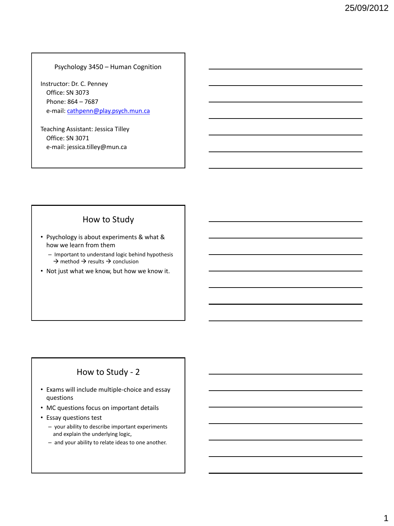### Psychology 3450 – Human Cognition

Instructor: Dr. C. Penney Office: SN 3073 Phone: 864 – 7687 e-mail: [cathpenn@play.psych.mun.ca](mailto:cathpenn@play.psych.mun.ca)

Teaching Assistant: Jessica Tilley Office: SN 3071 e-mail: jessica.tilley@mun.ca

### How to Study

- Psychology is about experiments & what & how we learn from them
	- Important to understand logic behind hypothesis  $\rightarrow$  method  $\rightarrow$  results  $\rightarrow$  conclusion
- Not just what we know, but how we know it.

## How to Study - 2

- Exams will include multiple-choice and essay questions
- MC questions focus on important details
- Essay questions test
	- your ability to describe important experiments and explain the underlying logic,
	- and your ability to relate ideas to one another.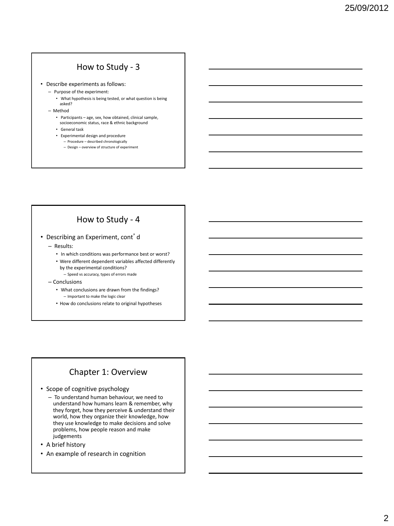## How to Study - 3

- Describe experiments as follows:
	- Purpose of the experiment:
		- What hypothesis is being tested, or what question is being asked?
	- Method
		- Participants age, sex, how obtained, clinical sample, socioeconomic status, race & ethnic background
		- General task
		- Experimental design and procedure
			- Procedure described chronologically – Design – overview of structure of experiment

# How to Study - 4

- Describing an Experiment, cont'd
	- Results:
		- In which conditions was performance best or worst?
		- Were different dependent variables affected differently by the experimental conditions?
	- Speed vs accuracy, types of errors made – Conclusions
		- What conclusions are drawn from the findings? – Important to make the logic clear
		- How do conclusions relate to original hypotheses

### Chapter 1: Overview

- Scope of cognitive psychology
	- To understand human behaviour, we need to understand how humans learn & remember, why they forget, how they perceive & understand their world, how they organize their knowledge, how they use knowledge to make decisions and solve problems, how people reason and make judgements
- A brief history
- An example of research in cognition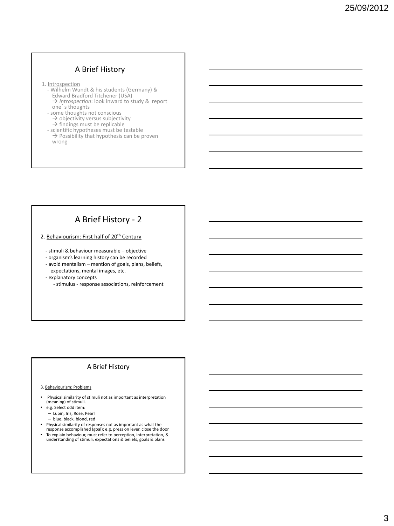### A Brief History

- 
- 1. Introspection<br>Thelm Wundt & his students (Germany) & Edward Bradford Titchener (USA) → *Introspection*: look inward to study & report one's thoughts
	- some thoughts not conscious  $\rightarrow$  objectivity versus subjectivity
	-
- → findings must be replicable<br>
 scientific hypotheses must be testable<br>
→ Possibility that hypothesis can be proven wrong

# A Brief History - 2

2. Behaviourism: First half of 20<sup>th</sup> Century

- stimuli & behaviour measurable – objective

- organism's learning history can be recorded

 - avoid mentalism – mention of goals, plans, beliefs, expectations, mental images, etc.

- explanatory concepts

- stimulus - response associations, reinforcement

### A Brief History

#### 3. Behaviourism: Problems

- Physical similarity of stimuli not as important as interpretation (meaning) of stimuli.
- e.g. Select odd item:
	- Lupin, Iris, Rose, Pearl
	- blue, black, blond, red
- Physical similarity of responses not as important as what the
- response accomplished (goal); e.g. press on lever, close the door • To explain behaviour, must refer to perception, interpretation, & understanding of stimuli; expectations & beliefs, goals & plans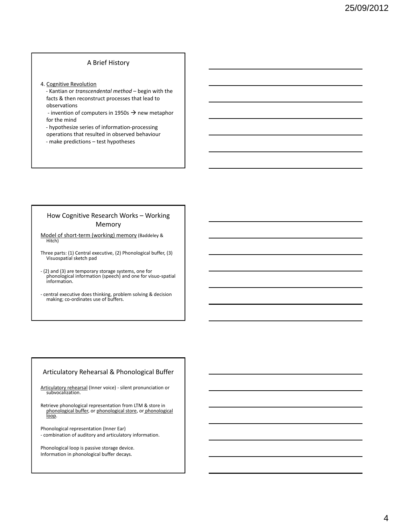#### A Brief History

- 4. Cognitive Revolution
	- Kantian or *transcendental method* begin with the facts & then reconstruct processes that lead to observations
	- invention of computers in 1950s  $\rightarrow$  new metaphor for the mind
	- hypothesize series of information-processing
	- operations that resulted in observed behaviour
	- make predictions test hypotheses

#### How Cognitive Research Works – Working Memory

- Model of short-term (working) memory (Baddeley & Hitch)
- Three parts: (1) Central executive, (2) Phonological buffer, (3) Visuospatial sketch pad
- (2) and (3) are temporary storage systems, one for phonological information (speech) and one for visuo-spatial information.
- central executive does thinking, problem solving & decision making; co-ordinates use of buffers.

#### Articulatory Rehearsal & Phonological Buffer

Articulatory rehearsal (Inner voice) - silent pronunciation or subvocalization.

Retrieve phonological representation from LTM & store in<br>phonological buffer, or phonological store, or phonological<br>loop.

Phonological representation (Inner Ear) - combination of auditory and articulatory information.

Phonological loop is passive storage device. Information in phonological buffer decays.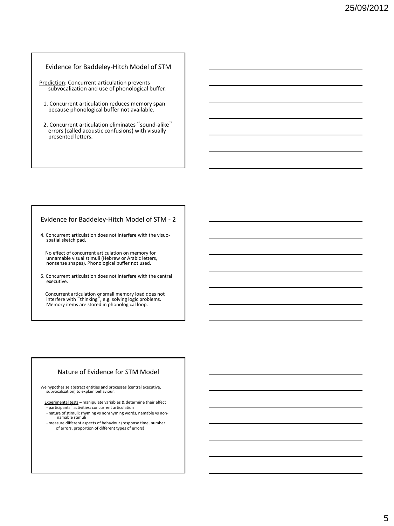#### Evidence for Baddeley-Hitch Model of STM

- Prediction: Concurrent articulation prevents subvocalization and use of phonological buffer.
	- 1. Concurrent articulation reduces memory span because phonological buffer not available.
	- 2. Concurrent articulation eliminates "sound-alike" errors (called acoustic confusions) with visually presented letters.

#### Evidence for Baddeley-Hitch Model of STM - 2

4. Concurrent articulation does not interfere with the visuospatial sketch pad.

 No effect of concurrent articulation on memory for unnamable visual stimuli (Hebrew or Arabic letters, nonsense shapes). Phonological buffer not used.

5. Concurrent articulation does not interfere with the central executive.

Concurrent articulation or small memory load does not interfere with "thinking", e.g. solving logic problems. Memory items are stored in phonological loop.

#### Nature of Evidence for STM Model

We hypothesize abstract entities and processes (central executive, subvocalization) to explain behaviour.

 Experimental tests – manipulate variables & determine their effect - participants' activities: concurrent articulation

- 
- nature of stimuli: rhyming vs nonrhyming words, namable vs non-namable stimuli

- measure different aspects of behaviour (response time, number of errors, proportion of different types of errors)